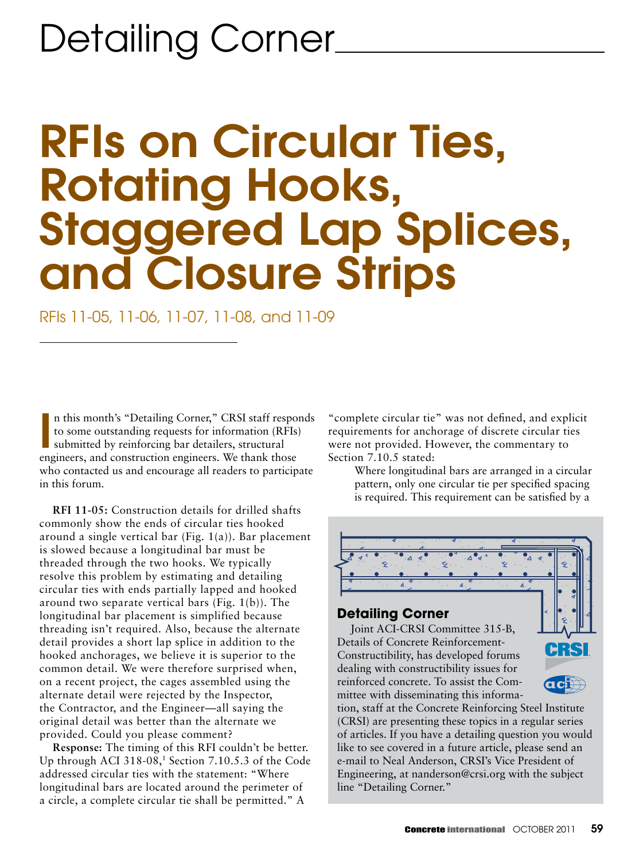# RFIs on Circular Ties, Rotating Hooks, Staggered Lap Splices, and Closure Strips

RFIs 11-05, 11-06, 11-07, 11-08, and 11-09

In this month's "Detailing Corner," CRSI staff respotors to some outstanding requests for information (RFIs) submitted by reinforcing bar detailers, structural engineers, and construction engineers. We thank those n this month's "Detailing Corner," CRSI staff responds to some outstanding requests for information (RFIs) submitted by reinforcing bar detailers, structural who contacted us and encourage all readers to participate in this forum.

**RFI 11-05:** Construction details for drilled shafts commonly show the ends of circular ties hooked around a single vertical bar (Fig. 1(a)). Bar placement is slowed because a longitudinal bar must be threaded through the two hooks. We typically resolve this problem by estimating and detailing circular ties with ends partially lapped and hooked around two separate vertical bars (Fig. 1(b)). The longitudinal bar placement is simplified because threading isn't required. Also, because the alternate detail provides a short lap splice in addition to the hooked anchorages, we believe it is superior to the common detail. We were therefore surprised when, on a recent project, the cages assembled using the alternate detail were rejected by the Inspector, the Contractor, and the Engineer—all saying the original detail was better than the alternate we provided. Could you please comment?

**Response:** The timing of this RFI couldn't be better. Up through ACI 318-08,1 Section 7.10.5.3 of the Code addressed circular ties with the statement: "Where longitudinal bars are located around the perimeter of a circle, a complete circular tie shall be permitted." A

"complete circular tie" was not defined, and explicit requirements for anchorage of discrete circular ties were not provided. However, the commentary to Section 7.10.5 stated:

Where longitudinal bars are arranged in a circular pattern, only one circular tie per specified spacing is required. This requirement can be satisfied by a



#### **Detailing Corner**

Joint ACI-CRSI Committee 315-B, Details of Concrete Reinforcement-Constructibility, has developed forums dealing with constructibility issues for reinforced concrete. To assist the Committee with disseminating this informa-

tion, staff at the Concrete Reinforcing Steel Institute (CRSI) are presenting these topics in a regular series of articles. If you have a detailing question you would like to see covered in a future article, please send an e-mail to Neal Anderson, CRSI's Vice President of Engineering, at nanderson@crsi.org with the subject line "Detailing Corner."

 $\overline{\text{ccl}}$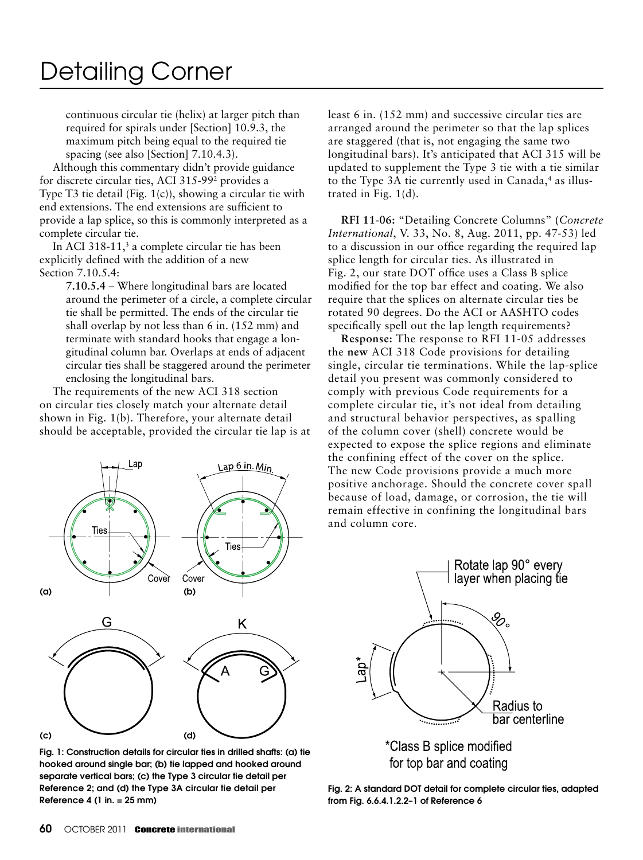continuous circular tie (helix) at larger pitch than required for spirals under [Section] 10.9.3, the maximum pitch being equal to the required tie spacing (see also [Section] 7.10.4.3).

Although this commentary didn't provide guidance for discrete circular ties, ACI 315-992 provides a Type T3 tie detail (Fig. 1(c)), showing a circular tie with end extensions. The end extensions are sufficient to provide a lap splice, so this is commonly interpreted as a complete circular tie.

In ACI 318-11, $3$  a complete circular tie has been explicitly defined with the addition of a new Section 7.10.5.4:

> **7.10.5.4** – Where longitudinal bars are located around the perimeter of a circle, a complete circular tie shall be permitted. The ends of the circular tie shall overlap by not less than 6 in. (152 mm) and terminate with standard hooks that engage a longitudinal column bar. Overlaps at ends of adjacent circular ties shall be staggered around the perimeter enclosing the longitudinal bars.

The requirements of the new ACI 318 section on circular ties closely match your alternate detail shown in Fig. 1(b). Therefore, your alternate detail should be acceptable, provided the circular tie lap is at



Fig. 1: Construction details for circular ties in drilled shafts: (a) tie hooked around single bar; (b) tie lapped and hooked around separate vertical bars; (c) the Type 3 circular tie detail per Reference 2; and (d) the Type 3A circular tie detail per Reference 4 (1 in. = 25 mm)

least 6 in. (152 mm) and successive circular ties are arranged around the perimeter so that the lap splices are staggered (that is, not engaging the same two longitudinal bars). It's anticipated that ACI 315 will be updated to supplement the Type 3 tie with a tie similar to the Type 3A tie currently used in Canada,<sup>4</sup> as illustrated in Fig. 1(d).

**RFI 11-06:** "Detailing Concrete Columns" **(***Concrete International*, V. 33, No. 8, Aug. 2011, pp. 47-53) led to a discussion in our office regarding the required lap splice length for circular ties. As illustrated in Fig. 2, our state DOT office uses a Class B splice modified for the top bar effect and coating. We also require that the splices on alternate circular ties be rotated 90 degrees. Do the ACI or AASHTO codes specifically spell out the lap length requirements?

**Response:** The response to RFI 11-05 addresses the **new** ACI 318 Code provisions for detailing single, circular tie terminations. While the lap-splice detail you present was commonly considered to comply with previous Code requirements for a complete circular tie, it's not ideal from detailing and structural behavior perspectives, as spalling of the column cover (shell) concrete would be expected to expose the splice regions and eliminate the confining effect of the cover on the splice. The new Code provisions provide a much more positive anchorage. Should the concrete cover spall because of load, damage, or corrosion, the tie will remain effective in confining the longitudinal bars and column core.



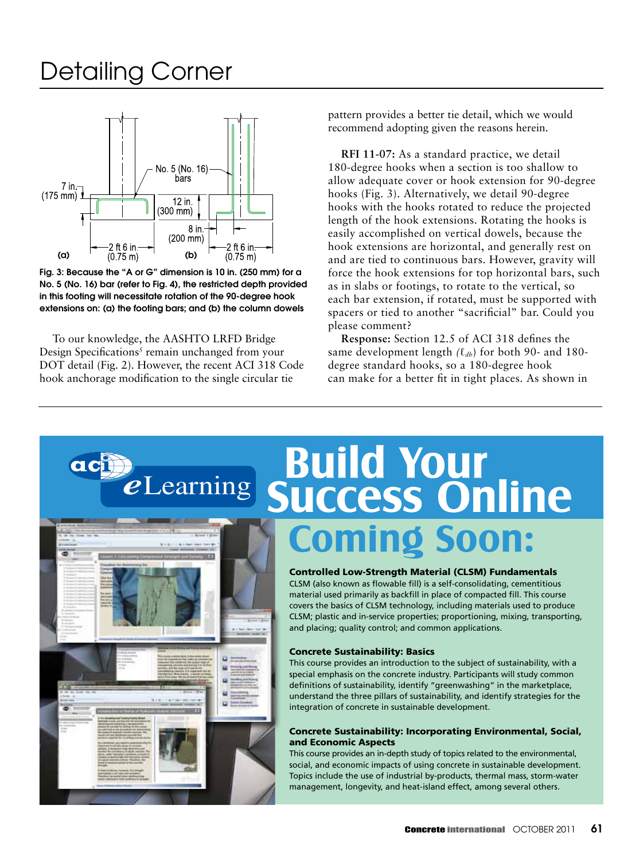

Fig. 3: Because the "A or G" dimension is 10 in. (250 mm) for a No. 5 (No. 16) bar (refer to Fig. 4), the restricted depth provided in this footing will necessitate rotation of the 90-degree hook extensions on: (a) the footing bars; and (b) the column dowels

To our knowledge, the AASHTO LRFD Bridge Design Specifications<sup>5</sup> remain unchanged from your DOT detail (Fig. 2). However, the recent ACI 318 Code hook anchorage modification to the single circular tie

pattern provides a better tie detail, which we would recommend adopting given the reasons herein.

**RFI 11-07:** As a standard practice, we detail 180-degree hooks when a section is too shallow to allow adequate cover or hook extension for 90-degree hooks (Fig. 3). Alternatively, we detail 90-degree hooks with the hooks rotated to reduce the projected length of the hook extensions. Rotating the hooks is easily accomplished on vertical dowels, because the hook extensions are horizontal, and generally rest on and are tied to continuous bars. However, gravity will force the hook extensions for top horizontal bars, such as in slabs or footings, to rotate to the vertical, so each bar extension, if rotated, must be supported with spacers or tied to another "sacrificial" bar. Could you please comment?

**Response:** Section 12.5 of ACI 318 defines the same development length *(*ℓ*dh*) for both 90- and 180 degree standard hooks, so a 180-degree hook can make for a better fit in tight places. As shown in

## **PROBUTE SUILD SUCCESS ONLINE** acii **Coming Soon:**



#### Controlled Low-Strength Material (CLSM) Fundamentals

CLSM (also known as flowable fill) is a self-consolidating, cementitious material used primarily as backfill in place of compacted fill. This course covers the basics of CLSM technology, including materials used to produce CLSM; plastic and in-service properties; proportioning, mixing, transporting, and placing; quality control; and common applications.

#### Concrete Sustainability: Basics

This course provides an introduction to the subject of sustainability, with a special emphasis on the concrete industry. Participants will study common definitions of sustainability, identify "greenwashing" in the marketplace, understand the three pillars of sustainability, and identify strategies for the integration of concrete in sustainable development.

#### Concrete Sustainability: Incorporating Environmental, Social, and Economic Aspects

This course provides an in-depth study of topics related to the environmental, social, and economic impacts of using concrete in sustainable development. Topics include the use of industrial by-products, thermal mass, storm-water management, longevity, and heat-island effect, among several others.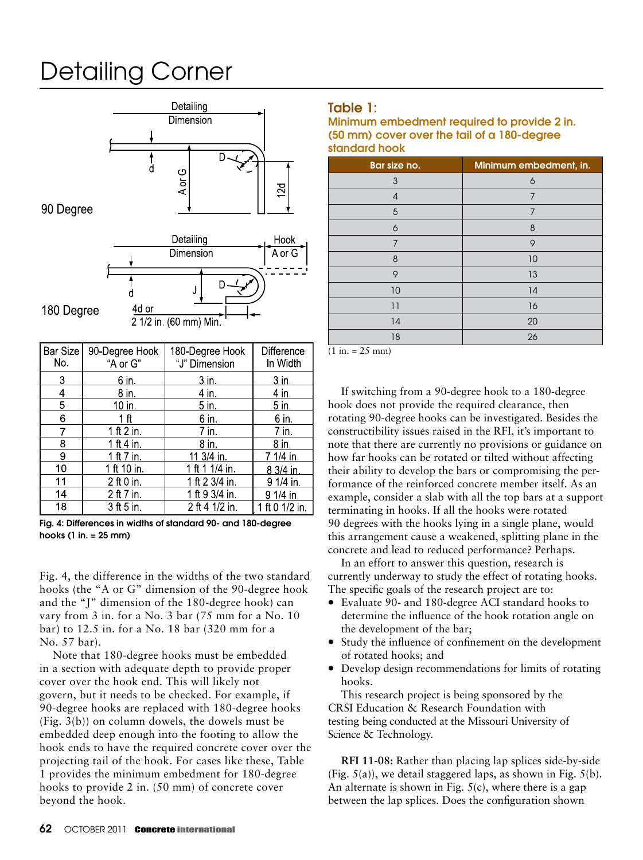

180 Degree

2 1/2 in (60 mm) Min.

| Bar Size<br>No. | 90-Degree Hook<br>"A or G" | 180-Degree Hook<br>"J" Dimension | Difference<br>In Width |
|-----------------|----------------------------|----------------------------------|------------------------|
| 3               | $6$ in                     | $3$ in                           | 3 <sub>in</sub>        |
| 4               | $8$ in                     | 4 in                             | 4 <sub>in</sub>        |
| 5               | 10 in.                     | $5$ in.                          | 5 in.                  |
| 6               | 1 <sub>ft</sub>            | $6$ in                           | $6$ in.                |
| 7               | 1 ft $2$ in.               | 7 in.                            | 7 in.                  |
| 8               | 1 ft 4 in.                 | $8$ in                           | $8$ in                 |
| 9               | 1 ft 7 in.                 | 11 3/4 in                        | 7 1/4 in.              |
| 10              | 1 ft 10 in.                | 1 ft 1 1/4 in.                   | 8 3/4 in.              |
| 11              | 2 ft 0 in.                 | 1 ft 2 3/4 in.                   | 9 1/4 in.              |
| 14              | 2 ft 7 in.                 | 1 ft 9 3/4 in.                   | 9 1/4 in.              |
| 18              | 3 ft 5 in.                 | 2 ft 4 1/2 in                    | 1 ft 0 1/2 in.         |

Fig. 4: Differences in widths of standard 90- and 180-degree hooks (1 in. = 25 mm)

Fig. 4, the difference in the widths of the two standard hooks (the "A or G" dimension of the 90-degree hook and the "J" dimension of the 180-degree hook) can vary from 3 in. for a No. 3 bar (75 mm for a No. 10 bar) to 12.5 in. for a No. 18 bar (320 mm for a No. 57 bar).

Note that 180-degree hooks must be embedded in a section with adequate depth to provide proper cover over the hook end. This will likely not govern, but it needs to be checked. For example, if 90-degree hooks are replaced with 180-degree hooks (Fig. 3(b)) on column dowels, the dowels must be embedded deep enough into the footing to allow the hook ends to have the required concrete cover over the projecting tail of the hook. For cases like these, Table 1 provides the minimum embedment for 180-degree hooks to provide 2 in. (50 mm) of concrete cover beyond the hook.

#### Table 1:

Minimum embedment required to provide 2 in. (50 mm) cover over the tail of a 180-degree standard hook

| Bar size no.   | Minimum embedment, in. |
|----------------|------------------------|
| 3              | 6                      |
| $\overline{4}$ | 7                      |
| 5              | 7                      |
| 6              | 8                      |
| 7              | 9                      |
| 8              | 10                     |
| 9              | 13                     |
| 10             | 14                     |
| 11             | 16                     |
| 14             | 20                     |
| 18             | 26                     |

 $(1 in. = 25 mm)$ 

If switching from a 90-degree hook to a 180-degree hook does not provide the required clearance, then rotating 90-degree hooks can be investigated. Besides the constructibility issues raised in the RFI, it's important to note that there are currently no provisions or guidance on how far hooks can be rotated or tilted without affecting their ability to develop the bars or compromising the performance of the reinforced concrete member itself. As an example, consider a slab with all the top bars at a support terminating in hooks. If all the hooks were rotated 90 degrees with the hooks lying in a single plane, would this arrangement cause a weakened, splitting plane in the concrete and lead to reduced performance? Perhaps.

In an effort to answer this question, research is currently underway to study the effect of rotating hooks. The specific goals of the research project are to:

- Evaluate 90- and 180-degree ACI standard hooks to determine the influence of the hook rotation angle on the development of the bar;
- Study the influence of confinement on the development of rotated hooks; and
- Develop design recommendations for limits of rotating hooks.

This research project is being sponsored by the CRSI Education & Research Foundation with testing being conducted at the Missouri University of Science & Technology.

**RFI 11-08:** Rather than placing lap splices side-by-side (Fig.  $5(a)$ ), we detail staggered laps, as shown in Fig.  $5(b)$ . An alternate is shown in Fig.  $5(c)$ , where there is a gap between the lap splices. Does the configuration shown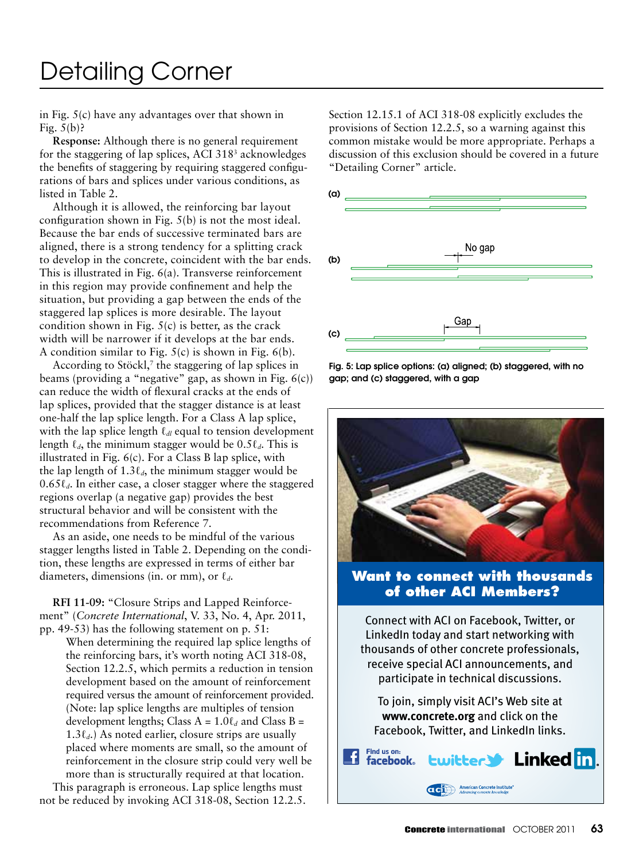in Fig. 5(c) have any advantages over that shown in Fig.  $5(b)$ ?

**Response:** Although there is no general requirement for the staggering of lap splices, ACI 318<sup>3</sup> acknowledges the benefits of staggering by requiring staggered configurations of bars and splices under various conditions, as listed in Table 2.

Although it is allowed, the reinforcing bar layout configuration shown in Fig. 5(b) is not the most ideal. Because the bar ends of successive terminated bars are aligned, there is a strong tendency for a splitting crack to develop in the concrete, coincident with the bar ends. This is illustrated in Fig. 6(a). Transverse reinforcement in this region may provide confinement and help the situation, but providing a gap between the ends of the staggered lap splices is more desirable. The layout condition shown in Fig.  $5(c)$  is better, as the crack width will be narrower if it develops at the bar ends. A condition similar to Fig.  $5(c)$  is shown in Fig.  $6(b)$ .

According to Stöckl,<sup>7</sup> the staggering of lap splices in beams (providing a "negative" gap, as shown in Fig. 6(c)) can reduce the width of flexural cracks at the ends of lap splices, provided that the stagger distance is at least one-half the lap splice length. For a Class A lap splice, with the lap splice length ℓ*dl* equal to tension development length  $\ell_d$ , the minimum stagger would be 0.5 $\ell_d$ . This is illustrated in Fig. 6(c). For a Class B lap splice, with the lap length of  $1.3\ell_d$ , the minimum stagger would be 0.65ℓ*d*. In either case, a closer stagger where the staggered regions overlap (a negative gap) provides the best structural behavior and will be consistent with the recommendations from Reference 7.

As an aside, one needs to be mindful of the various stagger lengths listed in Table 2. Depending on the condition, these lengths are expressed in terms of either bar diameters, dimensions (in. or mm), or ℓ*d*.

**RFI 11-09:** "Closure Strips and Lapped Reinforcement" (*Concrete International*, V. 33, No. 4, Apr. 2011, pp. 49-53) has the following statement on p. 51:

When determining the required lap splice lengths of the reinforcing bars, it's worth noting ACI 318-08, Section 12.2.5, which permits a reduction in tension development based on the amount of reinforcement required versus the amount of reinforcement provided. (Note: lap splice lengths are multiples of tension development lengths; Class  $A = 1.0 \ell_d$  and Class  $B =$ 1.3ℓ*d*.) As noted earlier, closure strips are usually placed where moments are small, so the amount of reinforcement in the closure strip could very well be more than is structurally required at that location.

This paragraph is erroneous. Lap splice lengths must not be reduced by invoking ACI 318-08, Section 12.2.5. Section 12.15.1 of ACI 318-08 explicitly excludes the provisions of Section 12.2.5, so a warning against this common mistake would be more appropriate. Perhaps a discussion of this exclusion should be covered in a future "Detailing Corner" article.



Fig. 5: Lap splice options: (a) aligned; (b) staggered, with no gap; and (c) staggered, with a gap